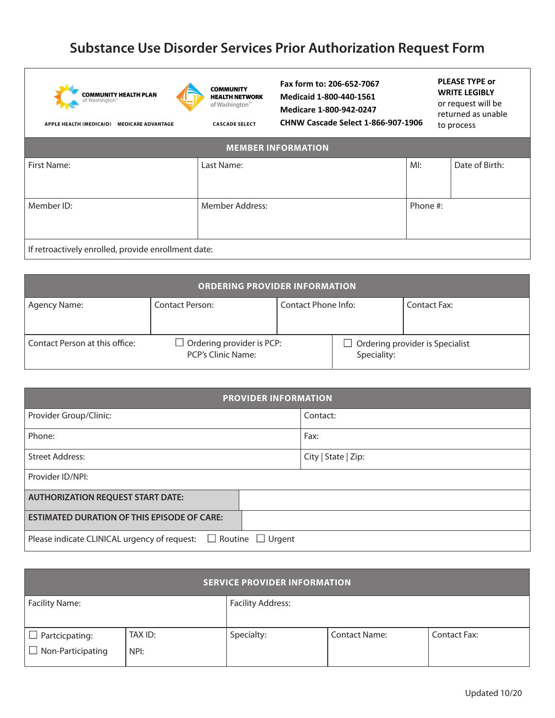## **Substance Use Disorder Services Prior Authorization Request Form**





**COMMUNITY HEALTH NETWORK** of Washington<sup> $m$ </sup>

**CASCADE SELECT** 

**Fax form to: 206-652-7067 Medicaid 1-800-440-1561 Medicare 1-800-942-0247 CHNW Cascade Select 1-866-907-1906**

## **PLEASE TYPE or WRITE LEGIBLY**

or request will be returned as unable to process

| APPLE HEALTH (MEDICAID) | MEDICARE ADVANTAGE |  |
|-------------------------|--------------------|--|
|                         |                    |  |

| <b>MEMBER INFORMATION</b>                           |                        |          |                |  |  |  |
|-----------------------------------------------------|------------------------|----------|----------------|--|--|--|
| First Name:                                         | Last Name:             | MI:      | Date of Birth: |  |  |  |
|                                                     |                        |          |                |  |  |  |
| Member ID:                                          | <b>Member Address:</b> | Phone #: |                |  |  |  |
|                                                     |                        |          |                |  |  |  |
| If retroactively enrolled, provide enrollment date: |                        |          |                |  |  |  |

| <b>ORDERING PROVIDER INFORMATION</b> |                                                        |                     |             |                                 |  |  |  |
|--------------------------------------|--------------------------------------------------------|---------------------|-------------|---------------------------------|--|--|--|
| Agency Name:                         | <b>Contact Person:</b>                                 | Contact Phone Info: |             | Contact Fax:                    |  |  |  |
| Contact Person at this office:       | $\Box$ Ordering provider is PCP:<br>PCP's Clinic Name: |                     | Speciality: | Ordering provider is Specialist |  |  |  |

| <b>PROVIDER INFORMATION</b>                            |                       |                     |  |  |  |
|--------------------------------------------------------|-----------------------|---------------------|--|--|--|
| Provider Group/Clinic:                                 |                       | Contact:            |  |  |  |
| Phone:                                                 |                       | Fax:                |  |  |  |
| <b>Street Address:</b>                                 |                       | City   State   Zip: |  |  |  |
| Provider ID/NPI:                                       |                       |                     |  |  |  |
| <b>AUTHORIZATION REQUEST START DATE:</b>               |                       |                     |  |  |  |
| <b>ESTIMATED DURATION OF THIS EPISODE OF CARE:</b>     |                       |                     |  |  |  |
| Please indicate CLINICAL urgency of request:<br>$\Box$ | Routine $\Box$ Urgent |                     |  |  |  |

| <b>SERVICE PROVIDER INFORMATION</b>               |                 |                          |                      |                     |  |  |
|---------------------------------------------------|-----------------|--------------------------|----------------------|---------------------|--|--|
| Facility Name:                                    |                 | <b>Facility Address:</b> |                      |                     |  |  |
| $\Box$ Partcicpating:<br>$\Box$ Non-Participating | TAX ID:<br>NPI: | Specialty:               | <b>Contact Name:</b> | <b>Contact Fax:</b> |  |  |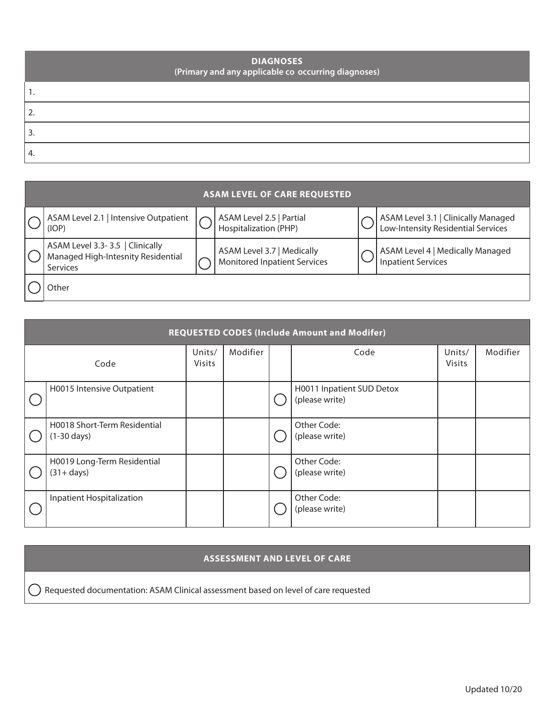| <b>DIAGNOSES</b><br>(Primary and any applicable co occurring diagnoses) |
|-------------------------------------------------------------------------|
|                                                                         |
|                                                                         |
| 3.                                                                      |
| 4.                                                                      |

| <b>ASAM LEVEL OF CARE REQUESTED</b>                                               |  |                                                                   |  |                                                                           |  |  |
|-----------------------------------------------------------------------------------|--|-------------------------------------------------------------------|--|---------------------------------------------------------------------------|--|--|
| ASAM Level 2.1   Intensive Outpatient<br>(IOP)                                    |  | ASAM Level 2.5   Partial<br>Hospitalization (PHP)                 |  | ASAM Level 3.1   Clinically Managed<br>Low-Intensity Residential Services |  |  |
| ASAM Level 3.3-3.5   Clinically<br>Managed High-Intesnity Residential<br>Services |  | ASAM Level 3.7   Medically<br><b>Monitored Inpatient Services</b> |  | ASAM Level 4   Medically Managed<br><b>Inpatient Services</b>             |  |  |
| )ther                                                                             |  |                                                                   |  |                                                                           |  |  |

| <b>REQUESTED CODES (Include Amount and Modifer)</b>   |                         |          |  |                                             |                         |          |  |
|-------------------------------------------------------|-------------------------|----------|--|---------------------------------------------|-------------------------|----------|--|
| Code                                                  | Units/<br><b>Visits</b> | Modifier |  | Code                                        | Units/<br><b>Visits</b> | Modifier |  |
| H0015 Intensive Outpatient                            |                         |          |  | H0011 Inpatient SUD Detox<br>(please write) |                         |          |  |
| H0018 Short-Term Residential<br>$(1-30 \text{ days})$ |                         |          |  | Other Code:<br>(please write)               |                         |          |  |
| H0019 Long-Term Residential<br>$(31 + days)$          |                         |          |  | Other Code:<br>(please write)               |                         |          |  |
| Inpatient Hospitalization                             |                         |          |  | Other Code:<br>(please write)               |                         |          |  |

## **ASSESSMENT AND LEVEL OF CARE**

Requested documentation: ASAM Clinical assessment based on level of care requested